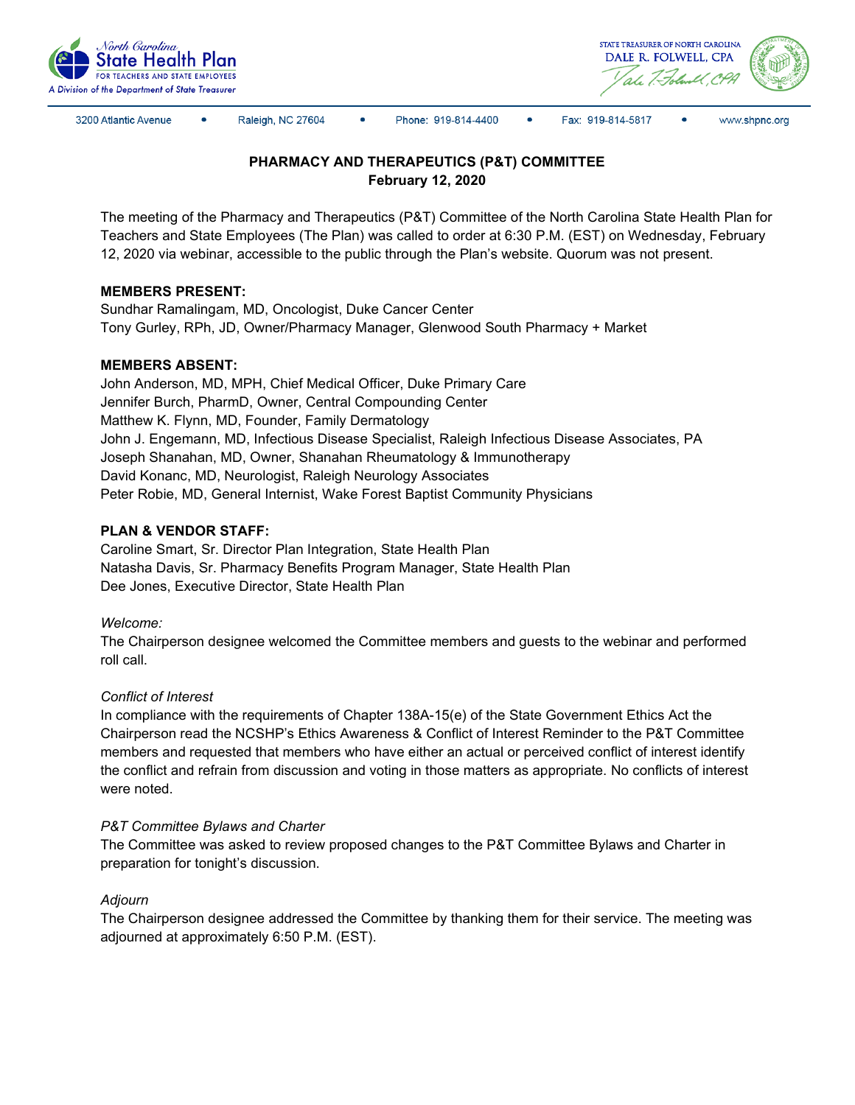



3200 Atlantic Avenue

Raleigh, NC 27604

Phone: 919-814-4400

 $\bullet$ Fax: 919-814-5817 www.shpnc.org

# **PHARMACY AND THERAPEUTICS (P&T) COMMITTEE February 12, 2020**

The meeting of the Pharmacy and Therapeutics (P&T) Committee of the North Carolina State Health Plan for Teachers and State Employees (The Plan) was called to order at 6:30 P.M. (EST) on Wednesday, February 12, 2020 via webinar, accessible to the public through the Plan's website. Quorum was not present.

# **MEMBERS PRESENT:**

Sundhar Ramalingam, MD, Oncologist, Duke Cancer Center Tony Gurley, RPh, JD, Owner/Pharmacy Manager, Glenwood South Pharmacy + Market

## **MEMBERS ABSENT:**

John Anderson, MD, MPH, Chief Medical Officer, Duke Primary Care Jennifer Burch, PharmD, Owner, Central Compounding Center Matthew K. Flynn, MD, Founder, Family Dermatology John J. Engemann, MD, Infectious Disease Specialist, Raleigh Infectious Disease Associates, PA Joseph Shanahan, MD, Owner, Shanahan Rheumatology & Immunotherapy David Konanc, MD, Neurologist, Raleigh Neurology Associates Peter Robie, MD, General Internist, Wake Forest Baptist Community Physicians

## **PLAN & VENDOR STAFF:**

Caroline Smart, Sr. Director Plan Integration, State Health Plan Natasha Davis, Sr. Pharmacy Benefits Program Manager, State Health Plan Dee Jones, Executive Director, State Health Plan

*Welcome:*

The Chairperson designee welcomed the Committee members and guests to the webinar and performed roll call.

# *Conflict of Interest*

In compliance with the requirements of Chapter 138A-15(e) of the State Government Ethics Act the Chairperson read the NCSHP's Ethics Awareness & Conflict of Interest Reminder to the P&T Committee members and requested that members who have either an actual or perceived conflict of interest identify the conflict and refrain from discussion and voting in those matters as appropriate. No conflicts of interest were noted.

## *P&T Committee Bylaws and Charter*

The Committee was asked to review proposed changes to the P&T Committee Bylaws and Charter in preparation for tonight's discussion.

## *Adjourn*

The Chairperson designee addressed the Committee by thanking them for their service. The meeting was adjourned at approximately 6:50 P.M. (EST).